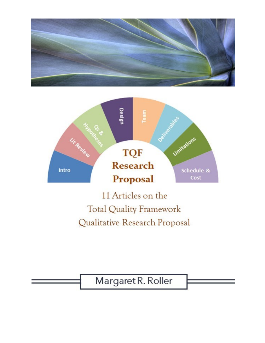



11 Articles on the **Total Quality Framework** Qualitative Research Proposal

Margaret R. Roller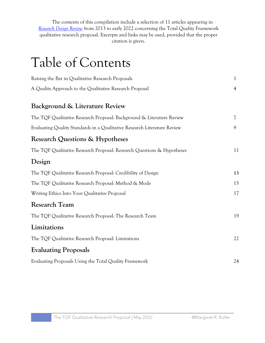The contents of this compilation include a selection of 11 articles appearing in *[Research Design Review](https://researchdesignreview.com/)* from 2013 to early 2022 concerning the Total Quality Framework qualitative research proposal. Excerpts and links may be used, provided that the proper citation is given.

# Table of Contents

| Raising the Bar in Qualitative Research Proposals                        |    |  |
|--------------------------------------------------------------------------|----|--|
| A Quality Approach to the Qualitative Research Proposal                  | 4  |  |
| Background & Literature Review                                           |    |  |
| The TQF Qualitative Research Proposal: Background & Literature Review    | 7  |  |
| Evaluating Quality Standards in a Qualitative Research Literature Review | 9  |  |
| <b>Research Questions &amp; Hypotheses</b>                               |    |  |
| The TQF Qualitative Research Proposal: Research Questions & Hypotheses   | 11 |  |
| Design                                                                   |    |  |
| The TQF Qualitative Research Proposal: Credibility of Design             | 13 |  |
| The TQF Qualitative Research Proposal: Method & Mode                     | 15 |  |
| Writing Ethics Into Your Qualitative Proposal                            | 17 |  |
| <b>Research Team</b>                                                     |    |  |
| The TQF Qualitative Research Proposal: The Research Team                 | 19 |  |
| Limitations                                                              |    |  |
| The TQF Qualitative Research Proposal: Limitations                       | 22 |  |
| <b>Evaluating Proposals</b>                                              |    |  |
| Evaluating Proposals Using the Total Quality Framework                   | 24 |  |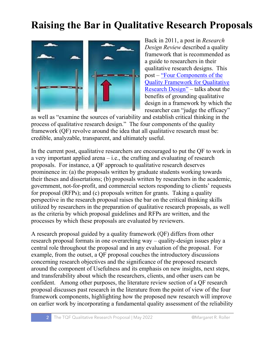### **Raising the Bar in Qualitative Research Proposals**



Back in 2011, a post in *Research Design Review* described a quality framework that is recommended as a guide to researchers in their qualitative research designs. This post – ["Four Components of the](https://researchdesignreview.com/2011/11/26/four-components-of-the-quality-framework/)  [Quality Framework for Qualitative](https://researchdesignreview.com/2011/11/26/four-components-of-the-quality-framework/)  [Research](https://researchdesignreview.com/2011/11/26/four-components-of-the-quality-framework/) Design" – talks about the benefits of grounding qualitative design in a framework by which the researcher can "judge the efficacy"

as well as "examine the sources of variability and establish critical thinking in the process of qualitative research design." The four components of the quality framework (QF) revolve around the idea that all qualitative research must be: credible, analyzable, transparent, and ultimately useful.

In the current post, qualitative researchers are encouraged to put the QF to work in a very important applied arena  $-$  i.e., the crafting and evaluating of research proposals. For instance, a QF approach to qualitative research deserves prominence in: (a) the proposals written by graduate students working towards their theses and dissertations; (b) proposals written by researchers in the academic, government, not-for-profit, and commercial sectors responding to clients' requests for proposal (RFPs); and (c) proposals written for grants. Taking a quality perspective in the research proposal raises the bar on the critical thinking skills utilized by researchers in the preparation of qualitative research proposals, as well as the criteria by which proposal guidelines and RFPs are written, and the processes by which these proposals are evaluated by reviewers.

A research proposal guided by a quality framework (QF) differs from other research proposal formats in one overarching way – quality-design issues play a central role throughout the proposal and in any evaluation of the proposal. For example, from the outset, a QF proposal couches the introductory discussions concerning research objectives and the significance of the proposed research around the component of Usefulness and its emphasis on new insights, next steps, and transferability about which the researchers, clients, and other users can be confident. Among other purposes, the literature review section of a QF research proposal discusses past research in the literature from the point of view of the four framework components, highlighting how the proposed new research will improve on earlier work by incorporating a fundamental quality assessment of the reliability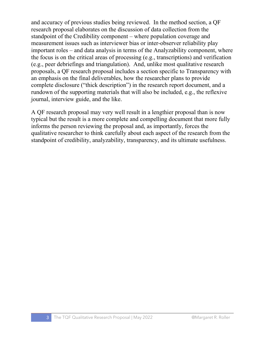and accuracy of previous studies being reviewed. In the method section, a QF research proposal elaborates on the discussion of data collection from the standpoint of the Credibility component – where population coverage and measurement issues such as interviewer bias or inter-observer reliability play important roles – and data analysis in terms of the Analyzability component, where the focus is on the critical areas of processing (e.g., transcriptions) and verification (e.g., peer debriefings and triangulation). And, unlike most qualitative research proposals, a QF research proposal includes a section specific to Transparency with an emphasis on the final deliverables, how the researcher plans to provide complete disclosure ("thick description") in the research report document, and a rundown of the supporting materials that will also be included, e.g., the reflexive journal, interview guide, and the like.

A QF research proposal may very well result in a lengthier proposal than is now typical but the result is a more complete and compelling document that more fully informs the person reviewing the proposal and, as importantly, forces the qualitative researcher to think carefully about each aspect of the research from the standpoint of credibility, analyzability, transparency, and its ultimate usefulness.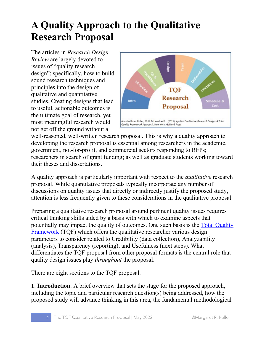### **A Quality Approach to the Qualitative Research Proposal**

The articles in *Research Design Review* are largely devoted to issues of "quality research design"; specifically, how to build sound research techniques and principles into the design of qualitative and quantitative studies. Creating designs that lead to useful, actionable outcomes is the ultimate goal of research, yet most meaningful research would not get off the ground without a



well-reasoned, well-written research proposal. This is why a quality approach to developing the research proposal is essential among researchers in the academic, government, not-for-profit, and commercial sectors responding to RFPs; researchers in search of grant funding; as well as graduate students working toward their theses and dissertations.

A quality approach is particularly important with respect to the *qualitative* research proposal. While quantitative proposals typically incorporate any number of discussions on quality issues that directly or indirectly justify the proposed study, attention is less frequently given to these considerations in the qualitative proposal.

Preparing a qualitative research proposal around pertinent quality issues requires critical thinking skills aided by a basis with which to examine aspects that potentially may impact the quality of outcomes. One such basis is the [Total Quality](https://researchdesignreview.com/2017/09/27/the-quality-in-qualitative-research-debate-the-total-quality-framework/)  [Framework](https://researchdesignreview.com/2017/09/27/the-quality-in-qualitative-research-debate-the-total-quality-framework/) (TQF) which offers the qualitative researcher various design parameters to consider related to Credibility (data collection), Analyzability (analysis), Transparency (reporting), and Usefulness (next steps). What differentiates the TQF proposal from other proposal formats is the central role that quality design issues play *throughout* the proposal.

There are eight sections to the TQF proposal.

**1**. **Introduction**: A brief overview that sets the stage for the proposed approach, including the topic and particular research question(s) being addressed, how the proposed study will advance thinking in this area, the fundamental methodological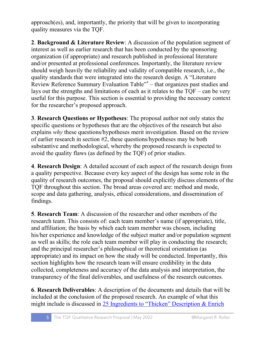approach(es), and, importantly, the priority that will be given to incorporating quality measures via the TQF.

**2**. **Background & Literature Review**: A discussion of the population segment of interest as well as earlier research that has been conducted by the sponsoring organization (if appropriate) and research published in professional literature and/or presented at professional conferences. Importantly, the literature review should weigh heavily the reliability and validity of compatible research, i.e., the quality standards that were integrated into the research design. A "Literature Review Reference Summary Evaluation Table"\* – that organizes past studies and lays out the strengths and limitations of each as it relates to the TQF – can be very useful for this purpose. This section is essential to providing the necessary context for the researcher's proposed approach.

**3**. **Research Questions or Hypotheses**: The proposal author not only states the specific questions or hypotheses that are the objectives of the research but also explains *why* these questions/hypotheses merit investigation. Based on the review of earlier research in section #2, these questions/hypotheses may be both substantive and methodological, whereby the proposed research is expected to avoid the quality flaws (as defined by the TQF) of prior studies.

**4**. **Research Design**: A detailed account of each aspect of the research design from a quality perspective. Because every key aspect of the design has some role in the quality of research outcomes, the proposal should explicitly discuss elements of the TQF throughout this section. The broad areas covered are: method and mode, scope and data gathering, analysis, ethical considerations, and dissemination of findings.

**5**. **Research Team**: A discussion of the researcher and other members of the research team. This consists of: each team member's name (if appropriate), title, and affiliation; the basis by which each team member was chosen, including his/her experience and knowledge of the subject matter and/or population segment as well as skills; the role each team member will play in conducting the research; and the principal researcher's philosophical or theoretical orientation (as appropriate) and its impact on how the study will be conducted. Importantly, this section highlights how the research team will ensure credibility in the data collected, completeness and accuracy of the data analysis and interpretation, the transparency of the final deliverables, and usefulness of the research outcomes.

**6**. **Research Deliverables**: A description of the documents and details that will be included at the conclusion of the proposed research. An example of what this might include is discussed in [25 Ingredients to "Thicken" Description & Enrich](https://researchdesignreview.com/2015/03/16/25-ingredients-to-thicken-description-enrich-transparency-in-ethnography/)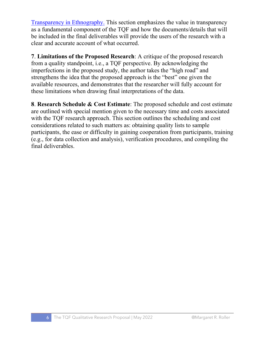[Transparency in](https://researchdesignreview.com/2015/03/16/25-ingredients-to-thicken-description-enrich-transparency-in-ethnography/) Ethnography. This section emphasizes the value in transparency as a fundamental component of the TQF and how the documents/details that will be included in the final deliverables will provide the users of the research with a clear and accurate account of what occurred.

**7**. **Limitations of the Proposed Research**: A critique of the proposed research from a quality standpoint, i.e., a TQF perspective. By acknowledging the imperfections in the proposed study, the author takes the "high road" and strengthens the idea that the proposed approach is the "best" one given the available resources, and demonstrates that the researcher will fully account for these limitations when drawing final interpretations of the data.

**8**. **Research Schedule & Cost Estimate**: The proposed schedule and cost estimate are outlined with special mention given to the necessary time and costs associated with the TQF research approach. This section outlines the scheduling and cost considerations related to such matters as: obtaining quality lists to sample participants, the ease or difficulty in gaining cooperation from participants, training (e.g., for data collection and analysis), verification procedures, and compiling the final deliverables.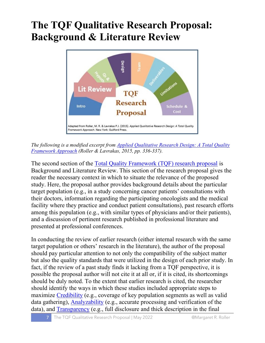### **The TQF Qualitative Research Proposal: Background & Literature Review**



*The following is a modified excerpt from [Applied Qualitative Research Design: A Total Quality](https://researchdesignreview.com/applied-qualitative-research-design/)  [Framework Approach](https://researchdesignreview.com/applied-qualitative-research-design/) (Roller & Lavrakas, 2015, pp. 336-337).*

The second section of the <u>Total Quality Framework (TQF)</u> research proposal is Background and Literature Review. This section of the research proposal gives the reader the necessary context in which to situate the relevance of the proposed study. Here, the proposal author provides background details about the particular target population (e.g., in a study concerning cancer patients' consultations with their doctors, information regarding the participating oncologists and the medical facility where they practice and conduct patient consultations), past research efforts among this population (e.g., with similar types of physicians and/or their patients), and a discussion of pertinent research published in professional literature and presented at professional conferences.

In conducting the review of earlier research (either internal research with the same target population or others' research in the literature), the author of the proposal should pay particular attention to not only the compatibility of the subject matter but also the quality standards that were utilized in the design of each prior study. In fact, if the review of a past study finds it lacking from a TQF perspective, it is possible the proposal author will not cite it at all or, if it is cited, its shortcomings should be duly noted. To the extent that earlier research is cited, the researcher should identify the ways in which these studies included appropriate steps to maximize [Credibility](https://researchdesignreview.com/2017/03/30/credible-qualitative-research-the-total-quality-framework-credibility-component/) (e.g., coverage of key population segments as well as valid data gathering), [Analyzability](https://researchdesignreview.com/2017/04/06/analyzable-qualitative-research-the-total-quality-framework-analyzability-component/) (e.g., accurate processing and verification of the data), and **Transparency** (e.g., full disclosure and thick description in the final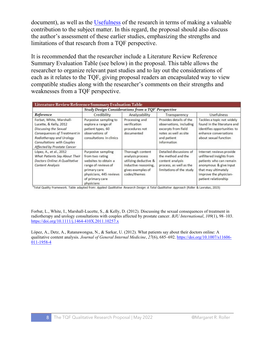document), as well as the [Usefulness](https://researchdesignreview.com/2017/05/03/useful-qualitative-research-the-total-quality-framework-usefulness-component/) of the research in terms of making a valuable contribution to the subject matter. In this regard, the proposal should also discuss the author's assessment of these earlier studies, emphasizing the strengths and limitations of that research from a TQF perspective.

It is recommended that the researcher include a Literature Review Reference Summary Evaluation Table (see below) in the proposal. This table allows the researcher to organize relevant past studies and to lay out the considerations of each as it relates to the TQF, giving proposal readers an encapsulated way to view compatible studies along with the researcher's comments on their strengths and weaknesses from a TQF perspective.

| Reference                                                                                                                                                                                            | Study Design Considerations from a TQF' Perspective                                                                                                              |                                                                                                                            |                                                                                                                                  |                                                                                                                                                                                    |
|------------------------------------------------------------------------------------------------------------------------------------------------------------------------------------------------------|------------------------------------------------------------------------------------------------------------------------------------------------------------------|----------------------------------------------------------------------------------------------------------------------------|----------------------------------------------------------------------------------------------------------------------------------|------------------------------------------------------------------------------------------------------------------------------------------------------------------------------------|
|                                                                                                                                                                                                      | Credibility                                                                                                                                                      | Analyzability                                                                                                              | Transparency                                                                                                                     | <b>Usefulness</b>                                                                                                                                                                  |
| Forbat, White, Marshall-<br>Lucette, & Kelly, 2012<br>Discussing the Sexual<br>Consequences of Treatment in<br>Radiotherapy and Urology<br>Consultations with Couples<br>Affected by Prostate Cancer | Purposive sampling to<br>explore a range of<br>patient types, 60<br>observations of<br>consultations in clinics                                                  | Processing and<br>verification<br>procedures not<br>documented                                                             | Provides details of the<br>observations, including<br>excerpts from field<br>notes as well as site<br>and patient<br>information | Tackles a topic not widely<br>found in the literature and<br>identifies opportunities to<br>enhance conversations<br>about sexual function                                         |
| López, A., et al., 2012<br>What Patients Say About Their<br>Doctors Online: A Qualitative<br><b>Content Analysis</b>                                                                                 | Purposive sampling<br>from two rating<br>websites to obtain a<br>range of reviews of<br>primary care<br>physicians, 445 reviews<br>of primary care<br>physicians | Thorough content<br>analysis process<br>utilizing deductive &<br>inductive reasoning,<br>gives examples of<br>codes/themes | Detailed discussions of<br>the method and the<br>content analysis<br>process, as well as the<br>limitations of the study         | Internet reviews provide<br>unfiltered insights from<br>patients who can remain<br>anonymous & give input<br>that may ultimately<br>improve the physician-<br>patient relationship |

\*Total Quality Framework. Table adapted from: Applied Qualitative Research Design: A Total Qualitative Approach (Roller & Lavrakas, 2015)

Forbat, L., White, I., Marshall-Lucette, S., & Kelly, D. (2012). Discussing the sexual consequences of treatment in radiotherapy and urology consultations with couples affected by prostate cancer. *BJU International*, *109*(1), 98–103. <https://doi.org/10.1111/j.1464-410X.2011.10257.x>

López, A., Detz, A., Ratanawongsa, N., & Sarkar, U. (2012). What patients say about their doctors online: A qualitative content analysis. *Journal of General Internal Medicine*, *27*(6), 685–692[. https://doi.org/10.1007/s11606-](https://doi.org/10.1007/s11606-011-1958-4) [011-1958-4](https://doi.org/10.1007/s11606-011-1958-4)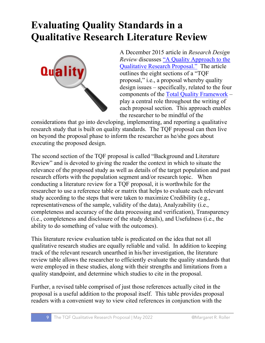#### **Evaluating Quality Standards in a Qualitative Research Literature Review**



A December 2015 article in *Research Design Review* discusses ["A Quality Approach to the](https://researchdesignreview.com/2015/12/12/a-quality-approach-to-the-qualitative-research-proposal/)  [Qualitative Research](https://researchdesignreview.com/2015/12/12/a-quality-approach-to-the-qualitative-research-proposal/) Proposal." The article outlines the eight sections of a "TQF proposal," i.e., a proposal whereby quality design issues – specifically, related to the four components of the [Total Quality Framework](http://www.slideshare.net/MargaretRoller/tqf-schematic-67879794) – play a central role throughout the writing of each proposal section. This approach enables the researcher to be mindful of the

considerations that go into developing, implementing, and reporting a qualitative research study that is built on quality standards. The TQF proposal can then live on beyond the proposal phase to inform the researcher as he/she goes about executing the proposed design.

The second section of the TQF proposal is called "Background and Literature Review" and is devoted to giving the reader the context in which to situate the relevance of the proposed study as well as details of the target population and past research efforts with the population segment and/or research topic. When conducting a literature review for a TQF proposal, it is worthwhile for the researcher to use a reference table or matrix that helps to evaluate each relevant study according to the steps that were taken to maximize Credibility (e.g., representativeness of the sample, validity of the data), Analyzability (i.e., completeness and accuracy of the data processing and verification), Transparency (i.e., completeness and disclosure of the study details), and Usefulness (i.e., the ability to do something of value with the outcomes).

This literature review evaluation table is predicated on the idea that not all qualitative research studies are equally reliable and valid. In addition to keeping track of the relevant research unearthed in his/her investigation, the literature review table allows the researcher to efficiently evaluate the quality standards that were employed in these studies, along with their strengths and limitations from a quality standpoint, and determine which studies to cite in the proposal.

Further, a revised table comprised of just those references actually cited in the proposal is a useful addition to the proposal itself. This table provides proposal readers with a convenient way to view cited references in conjunction with the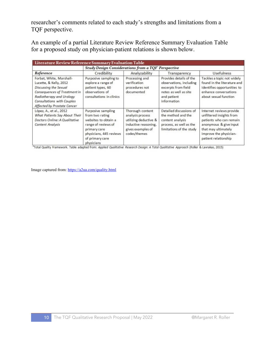researcher's comments related to each study's strengths and limitations from a TQF perspective.

An example of a partial Literature Review Reference Summary Evaluation Table for a proposed study on physician-patient relations is shown below.

| Literature Review Reference Summary Evaluation Table                                                                                                                                                 |                                                                                                                                                                  |                                                                                                                            |                                                                                                                                  |                                                                                                                                                                                    |  |  |
|------------------------------------------------------------------------------------------------------------------------------------------------------------------------------------------------------|------------------------------------------------------------------------------------------------------------------------------------------------------------------|----------------------------------------------------------------------------------------------------------------------------|----------------------------------------------------------------------------------------------------------------------------------|------------------------------------------------------------------------------------------------------------------------------------------------------------------------------------|--|--|
|                                                                                                                                                                                                      | <b>Study Design Considerations from a TOF Perspective</b>                                                                                                        |                                                                                                                            |                                                                                                                                  |                                                                                                                                                                                    |  |  |
| Reference                                                                                                                                                                                            | Credibility                                                                                                                                                      | Analyzability                                                                                                              | Transparency                                                                                                                     | <b>Usefulness</b>                                                                                                                                                                  |  |  |
| Forbat, White, Marshall-<br>Lucette, & Kelly, 2012<br>Discussing the Sexual<br>Consequences of Treatment in<br>Radiotherapy and Urology<br>Consultations with Couples<br>Affected by Prostate Cancer | Purposive sampling to<br>explore a range of<br>patient types, 60<br>observations of<br>consultations in clinics                                                  | Processing and<br>verification<br>procedures not<br>documented                                                             | Provides details of the<br>observations, including<br>excerpts from field<br>notes as well as site<br>and patient<br>information | Tackles a topic not widely<br>found in the literature and<br>identifies opportunities to<br>enhance conversations<br>about sexual function                                         |  |  |
| López, A., et al., 2012<br>What Patients Say About Their<br>Doctors Online: A Qualitative<br><b>Content Analysis</b>                                                                                 | Purposive sampling<br>from two rating<br>websites to obtain a<br>range of reviews of<br>primary care<br>physicians, 445 reviews<br>of primary care<br>physicians | Thorough content<br>analysis process<br>utilizing deductive &<br>inductive reasoning,<br>gives examples of<br>codes/themes | Detailed discussions of<br>the method and the<br>content analysis<br>process, as well as the<br>limitations of the study         | Internet reviews provide<br>unfiltered insights from<br>patients who can remain<br>anonymous & give input<br>that may ultimately<br>improve the physician-<br>patient relationship |  |  |

\*Total Quality Framework. Table adapted from: Applied Qualitative Research Design: A Total Qualitative Approach (Roller & Lavrakas, 2015)

Image captured from[: https://a2ua.com/quality.html](https://a2ua.com/quality.html)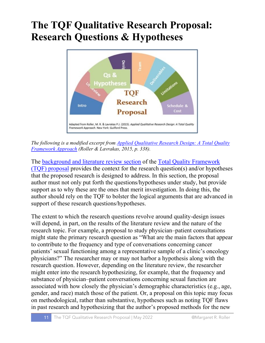### **The TQF Qualitative Research Proposal: Research Questions & Hypotheses**



*The following is a modified excerpt from [Applied Qualitative Research Design: A Total Quality](https://researchdesignreview.com/applied-qualitative-research-design/)  [Framework Approach](https://researchdesignreview.com/applied-qualitative-research-design/) (Roller & Lavrakas, 2015, p. 338).*

The [background and literature review section](https://researchdesignreview.com/2021/10/16/the-tqf-qualitative-research-proposal-background-literature-review/) of the [Total Quality Framework](https://researchdesignreview.com/2015/12/12/a-quality-approach-to-the-qualitative-research-proposal/)  [\(TQF\) proposal](https://researchdesignreview.com/2015/12/12/a-quality-approach-to-the-qualitative-research-proposal/) provides the context for the research question(s) and/or hypotheses that the proposed research is designed to address. In this section, the proposal author must not only put forth the questions/hypotheses under study, but provide support as to why these are the ones that merit investigation. In doing this, the author should rely on the TQF to bolster the logical arguments that are advanced in support of these research questions/hypotheses.

The extent to which the research questions revolve around quality-design issues will depend, in part, on the results of the literature review and the nature of the research topic. For example, a proposal to study physician–patient consultations might state the primary research question as "What are the main factors that appear to contribute to the frequency and type of conversations concerning cancer patients' sexual functioning among a representative sample of a clinic's oncology physicians?" The researcher may or may not harbor a hypothesis along with the research question. However, depending on the literature review, the researcher might enter into the research hypothesizing, for example, that the frequency and substance of physician–patient conversations concerning sexual function are associated with how closely the physician's demographic characteristics (e.g., age, gender, and race) match those of the patient. Or, a proposal on this topic may focus on methodological, rather than substantive, hypotheses such as noting TQF flaws in past research and hypothesizing that the author's proposed methods for the new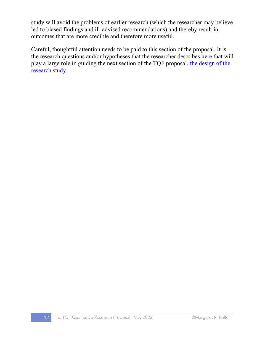study will avoid the problems of earlier research (which the researcher may believe led to biased findings and ill-advised recommendations) and thereby result in outcomes that are more credible and therefore more useful.

Careful, thoughtful attention needs to be paid to this section of the proposal. It is the research questions and/or hypotheses that the researcher describes here that will play a large role in guiding the next section of the TQF proposal, the design of the [research study.](https://researchdesignreview.com/2021/01/13/the-total-quality-framework-proposal-design-section-credibility/)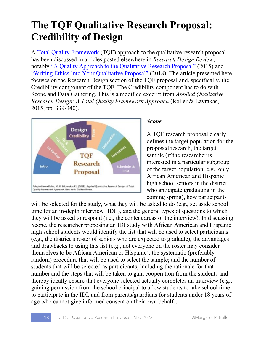### **The TQF Qualitative Research Proposal: Credibility of Design**

A [Total Quality Framework](https://researchdesignreview.com/2017/09/27/the-quality-in-qualitative-research-debate-the-total-quality-framework/) (TQF) approach to the qualitative research proposal has been discussed in articles posted elsewhere in *Research Design Review*, notably ["A Quality Approach to the Qualitative Research Proposal"](https://researchdesignreview.com/2015/12/12/a-quality-approach-to-the-qualitative-research-proposal/) (2015) and ["Writing Ethics Into Your Qualitative Proposal"](https://researchdesignreview.com/2018/11/29/writing-ethics-into-your-qualitative-proposal/) (2018). The article presented here focuses on the Research Design section of the TQF proposal and, specifically, the Credibility component of the TQF. The Credibility component has to do with Scope and Data Gathering. This is a modified excerpt from *[Applied Qualitative](https://researchdesignreview.com/applied-qualitative-research-design/)  [Research Design: A Total Quality Framework Approach](https://researchdesignreview.com/applied-qualitative-research-design/)* (Roller & Lavrakas, 2015, pp. 339-340).



#### *Scope*

A TQF research proposal clearly defines the target population for the proposed research, the target sample (if the researcher is interested in a particular subgroup of the target population, e.g., only African American and Hispanic high school seniors in the district who anticipate graduating in the coming spring), how participants

will be selected for the study, what they will be asked to do (e.g., set aside school time for an in-depth interview [IDI]), and the general types of questions to which they will be asked to respond (i.e., the content areas of the interview). In discussing Scope, the researcher proposing an IDI study with African American and Hispanic high school students would identify the list that will be used to select participants (e.g., the district's roster of seniors who are expected to graduate); the advantages and drawbacks to using this list (e.g., not everyone on the roster may consider themselves to be African American or Hispanic); the systematic (preferably random) procedure that will be used to select the sample; and the number of students that will be selected as participants, including the rationale for that number and the steps that will be taken to gain cooperation from the students and thereby ideally ensure that everyone selected actually completes an interview (e.g., gaining permission from the school principal to allow students to take school time to participate in the IDI, and from parents/guardians for students under 18 years of age who cannot give informed consent on their own behalf).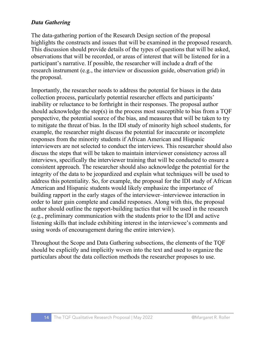#### *Data Gathering*

The data-gathering portion of the Research Design section of the proposal highlights the constructs and issues that will be examined in the proposed research. This discussion should provide details of the types of questions that will be asked, observations that will be recorded, or areas of interest that will be listened for in a participant's narrative. If possible, the researcher will include a draft of the research instrument (e.g., the interview or discussion guide, observation grid) in the proposal.

Importantly, the researcher needs to address the potential for biases in the data collection process, particularly potential researcher effects and participants' inability or reluctance to be forthright in their responses. The proposal author should acknowledge the step(s) in the process most susceptible to bias from a TQF perspective, the potential source of the bias, and measures that will be taken to try to mitigate the threat of bias. In the IDI study of minority high school students, for example, the researcher might discuss the potential for inaccurate or incomplete responses from the minority students if African American and Hispanic interviewers are not selected to conduct the interviews. This researcher should also discuss the steps that will be taken to maintain interviewer consistency across all interviews, specifically the interviewer training that will be conducted to ensure a consistent approach. The researcher should also acknowledge the potential for the integrity of the data to be jeopardized and explain what techniques will be used to address this potentiality. So, for example, the proposal for the IDI study of African American and Hispanic students would likely emphasize the importance of building rapport in the early stages of the interviewer–interviewee interaction in order to later gain complete and candid responses. Along with this, the proposal author should outline the rapport-building tactics that will be used in the research (e.g., preliminary communication with the students prior to the IDI and active listening skills that include exhibiting interest in the interviewee's comments and using words of encouragement during the entire interview).

Throughout the Scope and Data Gathering subsections, the elements of the TQF should be explicitly and implicitly woven into the text and used to organize the particulars about the data collection methods the researcher proposes to use.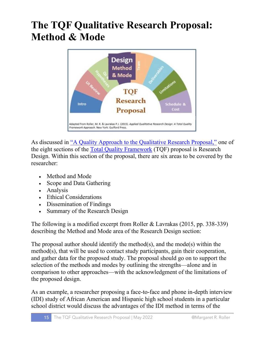### **The TQF Qualitative Research Proposal: Method & Mode**



As discussed in ["A Quality Approach to the Qualitative Research Proposal,"](https://researchdesignreview.com/2015/12/12/a-quality-approach-to-the-qualitative-research-proposal/) one of the eight sections of the [Total Quality Framework](https://researchdesignreview.com/2017/09/27/the-quality-in-qualitative-research-debate-the-total-quality-framework/) (TQF) proposal is Research Design. Within this section of the proposal, there are six areas to be covered by the researcher:

- Method and Mode
- Scope and Data Gathering
- Analysis
- Ethical Considerations
- Dissemination of Findings
- Summary of the Research Design

The following is a modified excerpt from Roller & Lavrakas (2015, pp. 338-339) describing the Method and Mode area of the Research Design section:

The proposal author should identify the method(s), and the mode(s) within the method(s), that will be used to contact study participants, gain their cooperation, and gather data for the proposed study. The proposal should go on to support the selection of the methods and modes by outlining the strengths—alone and in comparison to other approaches—with the acknowledgment of the limitations of the proposed design.

As an example, a researcher proposing a face-to-face and phone in-depth interview (IDI) study of African American and Hispanic high school students in a particular school district would discuss the advantages of the IDI method in terms of the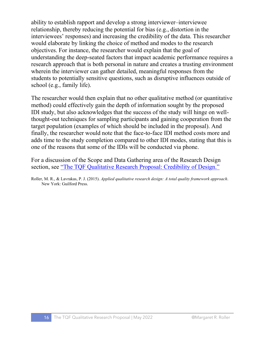ability to establish rapport and develop a strong interviewer–interviewee relationship, thereby reducing the potential for bias (e.g., distortion in the interviewees' responses) and increasing the credibility of the data. This researcher would elaborate by linking the choice of method and modes to the research objectives. For instance, the researcher would explain that the goal of understanding the deep-seated factors that impact academic performance requires a research approach that is both personal in nature and creates a trusting environment wherein the interviewer can gather detailed, meaningful responses from the students to potentially sensitive questions, such as disruptive influences outside of school (e.g., family life).

The researcher would then explain that no other qualitative method (or quantitative method) could effectively gain the depth of information sought by the proposed IDI study, but also acknowledges that the success of the study will hinge on wellthought-out techniques for sampling participants and gaining cooperation from the target population (examples of which should be included in the proposal). And finally, the researcher would note that the face-to-face IDI method costs more and adds time to the study completion compared to other IDI modes, stating that this is one of the reasons that some of the IDIs will be conducted via phone.

For a discussion of the Scope and Data Gathering area of the Research Design section, see ["The TQF Qualitative Research Proposal: Credibility of Design."](https://researchdesignreview.com/2021/01/13/the-total-quality-framework-proposal-design-section-credibility/)

Roller, M. R., & Lavrakas, P. J. (2015). *Applied qualitative research design: A total quality framework approach*. New York: Guilford Press.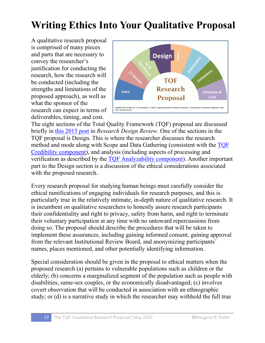## **Writing Ethics Into Your Qualitative Proposal**

A qualitative research proposal is comprised of many pieces and parts that are necessary to convey the researcher's justification for conducting the research, how the research will be conducted (including the strengths and limitations of the proposed approach), as well as what the sponsor of the research can expect in terms of deliverables, timing, and cost.



The eight sections of the Total Quality Framework (TQF) proposal are discussed briefly in [this 2015 post](https://researchdesignreview.com/2015/12/12/a-quality-approach-to-the-qualitative-research-proposal/) in *Research Design Review.* One of the sections in the TQF proposal is Design. This is where the researcher discusses the research method and mode along with Scope and Data Gathering (consistent with the [TQF](https://researchdesignreview.com/2017/03/30/credible-qualitative-research-the-total-quality-framework-credibility-component/)  [Credibility component\)](https://researchdesignreview.com/2017/03/30/credible-qualitative-research-the-total-quality-framework-credibility-component/), and analysis (including aspects of processing and verification as described by the [TQF Analyzability component\)](https://researchdesignreview.com/2017/04/06/analyzable-qualitative-research-the-total-quality-framework-analyzability-component/). Another important part to the Design section is a discussion of the ethical considerations associated with the proposed research.

Every research proposal for studying human beings must carefully consider the ethical ramifications of engaging individuals for research purposes, and this is particularly true in the relatively intimate, in-depth nature of qualitative research. It is incumbent on qualitative researchers to honestly assure research participants their confidentiality and right to privacy, safety from harm, and right to terminate their voluntary participation at any time with no untoward repercussions from doing so. The proposal should describe the procedures that will be taken to implement these assurances, including gaining informed consent, gaining approval from the relevant Institutional Review Board, and anonymizing participants' names, places mentioned, and other potentially identifying information.

Special consideration should be given in the proposal to ethical matters when the proposed research (a) pertains to vulnerable populations such as children or the elderly; (b) concerns a marginalized segment of the population such as people with disabilities, same-sex couples, or the economically disadvantaged; (c) involves covert observation that will be conducted in association with an ethnographic study; or (d) is a narrative study in which the researcher may withhold the full true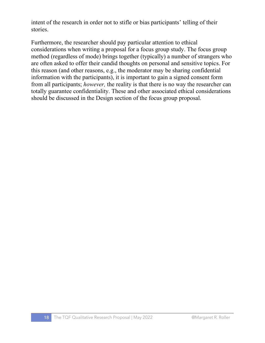intent of the research in order not to stifle or bias participants' telling of their stories.

Furthermore, the researcher should pay particular attention to ethical considerations when writing a proposal for a focus group study. The focus group method (regardless of mode) brings together (typically) a number of strangers who are often asked to offer their candid thoughts on personal and sensitive topics. For this reason (and other reasons, e.g., the moderator may be sharing confidential information with the participants), it is important to gain a signed consent form from all participants; *however,* the reality is that there is no way the researcher can totally guarantee confidentiality. These and other associated ethical considerations should be discussed in the Design section of the focus group proposal.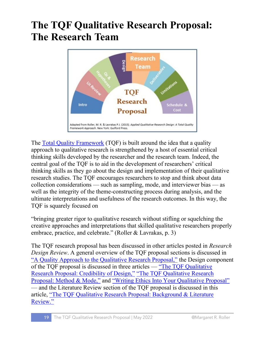#### **The TQF Qualitative Research Proposal: The Research Team**



The [Total Quality Framework](https://researchdesignreview.com/2017/09/27/the-quality-in-qualitative-research-debate-the-total-quality-framework/) (TQF) is built around the idea that a quality approach to qualitative research is strengthened by a host of essential critical thinking skills developed by the researcher and the research team. Indeed, the central goal of the TQF is to aid in the development of researchers' critical thinking skills as they go about the design and implementation of their qualitative research studies. The TQF encourages researchers to stop and think about data collection considerations — such as sampling, mode, and interviewer bias — as well as the integrity of the theme-constructing process during analysis, and the ultimate interpretations and usefulness of the research outcomes. In this way, the TQF is squarely focused on

"bringing greater rigor to qualitative research without stifling or squelching the creative approaches and interpretations that skilled qualitative researchers properly embrace, practice, and celebrate." (Roller & Lavrakas, p. 3)

The TQF research proposal has been discussed in other articles posted in *Research Design Review*. A general overview of the TQF proposal sections is discussed in ["A Quality Approach to the Qualitative Research Proposal,"](https://researchdesignreview.com/2015/12/12/a-quality-approach-to-the-qualitative-research-proposal/) the Design component of the TQF proposal is discussed in three articles — ["The TQF Qualitative](https://researchdesignreview.com/2021/01/13/the-total-quality-framework-proposal-design-section-credibility/)  [Research Proposal: Credibility of Design,"](https://researchdesignreview.com/2021/01/13/the-total-quality-framework-proposal-design-section-credibility/) ["The TQF Qualitative Research](https://researchdesignreview.com/2021/09/30/the-tqf-qualitative-research-proposal-method-mode/)  [Proposal: Method & Mode,"](https://researchdesignreview.com/2021/09/30/the-tqf-qualitative-research-proposal-method-mode/) and ["Writing Ethics Into Your Qualitative Proposal"](https://researchdesignreview.com/2018/11/29/writing-ethics-into-your-qualitative-proposal/) — and the Literature Review section of the TQF proposal is discussed in this article, ["The TQF Qualitative Research Proposal: Background & Literature](https://researchdesignreview.com/2021/10/16/the-tqf-qualitative-research-proposal-background-literature-review/)  [Review."](https://researchdesignreview.com/2021/10/16/the-tqf-qualitative-research-proposal-background-literature-review/)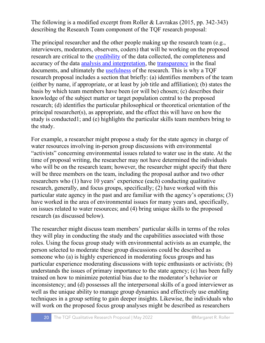The following is a modified excerpt from Roller & Lavrakas (2015, pp. 342-343) describing the Research Team component of the TQF research proposal:

The principal researcher and the other people making up the research team (e.g., interviewers, moderators, observers, coders) that will be working on the proposed research are critical to the [credibility](https://researchdesignreview.com/2017/03/30/credible-qualitative-research-the-total-quality-framework-credibility-component/) of the data collected, the completeness and accuracy of the data [analysis and interpretation,](https://researchdesignreview.com/2017/04/06/analyzable-qualitative-research-the-total-quality-framework-analyzability-component/) the [transparency](https://researchdesignreview.com/2017/04/20/transparent-qualitative-research-the-total-quality-framework-transparency-component/) in the final documents, and ultimately the [usefulness](https://researchdesignreview.com/2017/05/03/useful-qualitative-research-the-total-quality-framework-usefulness-component/) of the research. This is why a TQF research proposal includes a section that briefly: (a) identifies members of the team (either by name, if appropriate, or at least by job title and affiliation); (b) states the basis by which team members have been (or will be) chosen; (c) describes their knowledge of the subject matter or target population central to the proposed research; (d) identifies the particular philosophical or theoretical orientation of the principal researcher(s), as appropriate, and the effect this will have on how the study is conducted1; and (e) highlights the particular skills team members bring to the study.

For example, a researcher might propose a study for the state agency in charge of water resources involving in-person group discussions with environmental "activists" concerning environmental issues related to water use in the state. At the time of proposal writing, the researcher may not have determined the individuals who will be on the research team; however, the researcher might specify that there will be three members on the team, including the proposal author and two other researchers who (1) have 10 years' experience (each) conducting qualitative research, generally, and focus groups, specifically; (2) have worked with this particular state agency in the past and are familiar with the agency's operations; (3) have worked in the area of environmental issues for many years and, specifically, on issues related to water resources; and (4) bring unique skills to the proposed research (as discussed below).

The researcher might discuss team members' particular skills in terms of the roles they will play in conducting the study and the capabilities associated with those roles. Using the focus group study with environmental activists as an example, the person selected to moderate these group discussions could be described as someone who (a) is highly experienced in moderating focus groups and has particular experience moderating discussions with topic enthusiasts or activists; (b) understands the issues of primary importance to the state agency; (c) has been fully trained on how to minimize potential bias due to the moderator's behavior or inconsistency; and (d) possesses all the interpersonal skills of a good interviewer as well as the unique ability to manage group dynamics and effectively use enabling techniques in a group setting to gain deeper insights. Likewise, the individuals who will work on the proposed focus group analyses might be described as researchers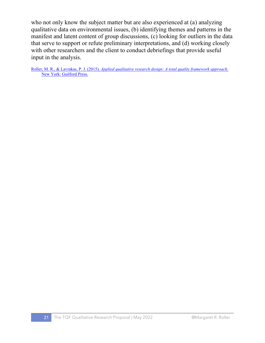who not only know the subject matter but are also experienced at (a) analyzing qualitative data on environmental issues, (b) identifying themes and patterns in the manifest and latent content of group discussions, (c) looking for outliers in the data that serve to support or refute preliminary interpretations, and (d) working closely with other researchers and the client to conduct debriefings that provide useful input in the analysis.

Roller, M. R., & Lavrakas, P. J. (2015). *[Applied qualitative research design: A total quality framework approach](https://www.amazon.com/Applied-Qualitative-Research-Design-Framework/dp/1462515754)*. [New York: Guilford Press.](https://www.amazon.com/Applied-Qualitative-Research-Design-Framework/dp/1462515754)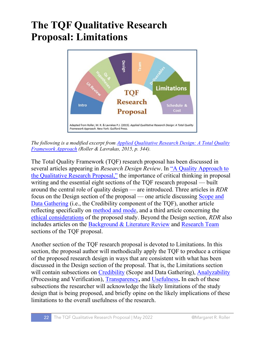### **The TQF Qualitative Research Proposal: Limitations**



*The following is a modified excerpt from [Applied Qualitative Research Design: A Total Quality](https://researchdesignreview.com/applied-qualitative-research-design/)  [Framework Approach](https://researchdesignreview.com/applied-qualitative-research-design/) (Roller & Lavrakas, 2015, p. 344).*

The Total Quality Framework (TQF) research proposal has been discussed in several articles appearing in *Research Design Review*. In "A Qua[lity Approach to](https://researchdesignreview.com/2015/12/12/a-quality-approach-to-the-qualitative-research-proposal/)  [the Qualitative Research Proposal,"](https://researchdesignreview.com/2015/12/12/a-quality-approach-to-the-qualitative-research-proposal/) the importance of critical thinking in proposal writing and the essential eight sections of the TQF research proposal — built around the central role of quality design — are introduced. Three articles in *RDR* focus on the Design section of the proposal — one article discussing [Scope and](https://researchdesignreview.com/2021/01/13/the-total-quality-framework-proposal-design-section-credibility/)  [Data Gathering](https://researchdesignreview.com/2021/01/13/the-total-quality-framework-proposal-design-section-credibility/) (i.e., the Credibility component of the TOF), another article reflecting specifically on [method and mode,](https://researchdesignreview.com/2021/09/30/the-tqf-qualitative-research-proposal-method-mode/) and a third article concerning the [ethical considerations](https://researchdesignreview.com/2018/11/29/writing-ethics-into-your-qualitative-proposal/) of the proposed study. Beyond the Design section, *RDR* also includes articles on the [Background & Literature Review](https://researchdesignreview.com/2021/10/16/the-tqf-qualitative-research-proposal-background-literature-review/) and [Research Team](https://researchdesignreview.com/2021/12/17/tqf-qualitative-research-proposal-research-team/) sections of the TQF proposal.

Another section of the TQF research proposal is devoted to Limitations. In this section, the proposal author will methodically apply the TQF to produce a critique of the proposed research design in ways that are consistent with what has been discussed in the Design section of the proposal. That is, the Limitations section will contain subsections on [Credibility](https://researchdesignreview.com/2017/03/30/credible-qualitative-research-the-total-quality-framework-credibility-component/) (Scope and Data Gathering), [Analyzability](https://researchdesignreview.com/2017/04/06/analyzable-qualitative-research-the-total-quality-framework-analyzability-component/) (Processing and Verification), [Transparency](https://researchdesignreview.com/2017/04/20/transparent-qualitative-research-the-total-quality-framework-transparency-component/)**,** and [Usefulness](https://researchdesignreview.com/2017/05/03/useful-qualitative-research-the-total-quality-framework-usefulness-component/)**.** In each of these subsections the researcher will acknowledge the likely limitations of the study design that is being proposed, and briefly opine on the likely implications of these limitations to the overall usefulness of the research.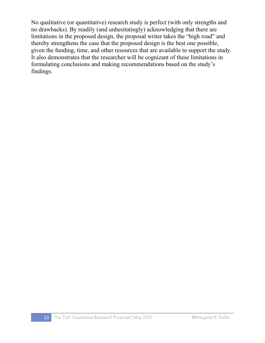No qualitative (or quantitative) research study is perfect (with only strengths and no drawbacks). By readily (and unhesitatingly) acknowledging that there are limitations in the proposed design, the proposal writer takes the "high road" and thereby strengthens the case that the proposed design is the best one possible, given the funding, time, and other resources that are available to support the study. It also demonstrates that the researcher will be cognizant of these limitations in formulating conclusions and making recommendations based on the study's findings.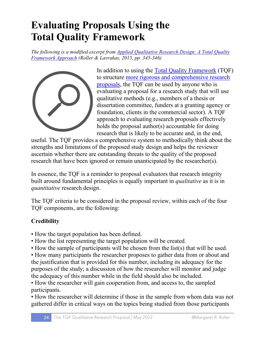### **Evaluating Proposals Using the Total Quality Framework**

*The following is a modified excerpt from [Applied Qualitative Research Design: A Total Quality](https://researchdesignreview.com/applied-qualitative-research-design/)  [Framework Approach](https://researchdesignreview.com/applied-qualitative-research-design/) (Roller & Lavrakas, 2015, pp. 345-346)*



In addition to using the [Total Quality Framework](https://researchdesignreview.com/2017/09/27/the-quality-in-qualitative-research-debate-the-total-quality-framework/) (TQF) to structure [more rigorous and comprehensive research](https://researchdesignreview.com/2015/12/12/a-quality-approach-to-the-qualitative-research-proposal/)  [proposals,](https://researchdesignreview.com/2015/12/12/a-quality-approach-to-the-qualitative-research-proposal/) the TQF can be used by anyone who is evaluating a proposal for a research study that will use qualitative methods (e.g., members of a thesis or dissertation committee, funders at a granting agency or foundation, clients in the commercial sector). A TQF approach to evaluating research proposals effectively holds the proposal author(s) accountable for doing research that is likely to be accurate and, in the end,

useful. The TQF provides a comprehensive system to methodically think about the strengths and limitations of the proposed study design and helps the reviewer ascertain whether there are outstanding threats to the quality of the proposed research that have been ignored or remain unanticipated by the researcher(s).

In essence, the TQF is a reminder to proposal evaluators that research integrity built around fundamental principles is equally important in *qualitative* as it is in *quantitative* research design.

The TQF criteria to be considered in the proposal review, within each of the four TQF components, are the following:

#### **Credibility**

- How the target population has been defined.
- How the list representing the target population will be created.
- How the sample of participants will be chosen from the list(s) that will be used.
- How many participants the researcher proposes to gather data from or about and the justification that is provided for this number, including its adequacy for the purposes of the study; a discussion of how the researcher will monitor and judge the adequacy of this number while in the field should also be included.

• How the researcher will gain cooperation from, and access to, the sampled participants.

• How the researcher will determine if those in the sample from whom data was not gathered differ in critical ways on the topics being studied from those participants